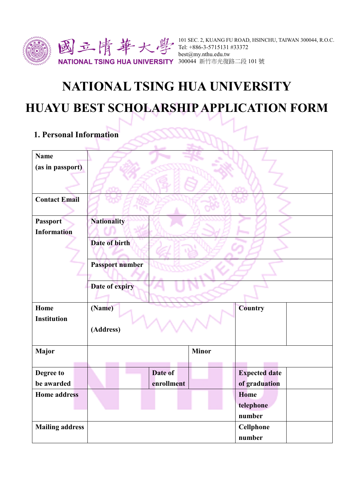

# **NATIONAL TSING HUA UNIVERSITY**

# **HUAYU BEST SCHOLARSHIPAPPLICATION FORM**

# **1. Personal Information**

| <b>Name</b>            |                    |            |              |                      |  |
|------------------------|--------------------|------------|--------------|----------------------|--|
| (as in passport)       |                    |            |              |                      |  |
|                        |                    |            |              |                      |  |
|                        |                    |            |              |                      |  |
| <b>Contact Email</b>   |                    |            |              |                      |  |
| Passport               | <b>Nationality</b> |            |              |                      |  |
| <b>Information</b>     |                    |            |              |                      |  |
|                        | Date of birth      |            |              |                      |  |
|                        |                    |            |              |                      |  |
|                        | Passport number    |            |              |                      |  |
|                        |                    |            |              |                      |  |
|                        | Date of expiry     |            |              |                      |  |
|                        |                    |            |              |                      |  |
| Home                   | (Name)             |            |              | Country              |  |
| <b>Institution</b>     |                    |            |              |                      |  |
|                        | (Address)          |            |              |                      |  |
|                        |                    |            |              |                      |  |
| Major                  |                    |            | <b>Minor</b> |                      |  |
|                        |                    |            |              |                      |  |
| Degree to              |                    | Date of    |              | <b>Expected date</b> |  |
| be awarded             |                    | enrollment |              | of graduation        |  |
| <b>Home address</b>    |                    |            |              | Home                 |  |
|                        |                    |            |              | telephone            |  |
|                        |                    |            |              | number               |  |
| <b>Mailing address</b> |                    |            |              | Cellphone            |  |
|                        |                    |            |              | number               |  |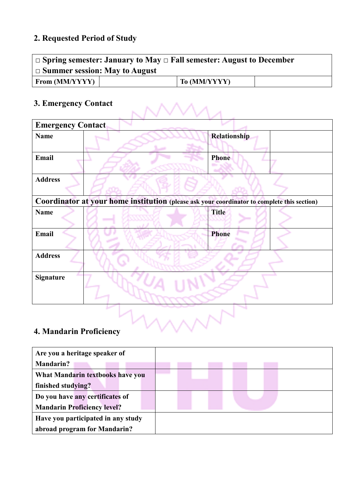## **2. Requested Period of Study**

| $\Box$ Spring semester: January to May $\Box$ Fall semester: August to December<br>$\Box$ Summer session: May to August |  |              |  |  |
|-------------------------------------------------------------------------------------------------------------------------|--|--------------|--|--|
| From $(MM/YYYY)$                                                                                                        |  | To (MM/YYYY) |  |  |

# **3. Emergency Contact**

| 3. Emergency Contact                                                                        |  |              |  |  |
|---------------------------------------------------------------------------------------------|--|--------------|--|--|
| <b>Emergency Contact</b>                                                                    |  |              |  |  |
| <b>Name</b>                                                                                 |  | Relationship |  |  |
| Email                                                                                       |  | <b>Phone</b> |  |  |
| <b>Address</b>                                                                              |  |              |  |  |
| Coordinator at your home institution (please ask your coordinator to complete this section) |  |              |  |  |
| <b>Name</b>                                                                                 |  | <b>Title</b> |  |  |
| Email                                                                                       |  | Phone        |  |  |
| <b>Address</b>                                                                              |  |              |  |  |
| <b>Signature</b>                                                                            |  |              |  |  |
| 4. Mandarin Proficiency                                                                     |  |              |  |  |

# **4. Mandarin Proficiency**

| Are you a heritage speaker of      |  |
|------------------------------------|--|
| <b>Mandarin?</b>                   |  |
| What Mandarin textbooks have you   |  |
| finished studying?                 |  |
| Do you have any certificates of    |  |
| <b>Mandarin Proficiency level?</b> |  |
| Have you participated in any study |  |
| abroad program for Mandarin?       |  |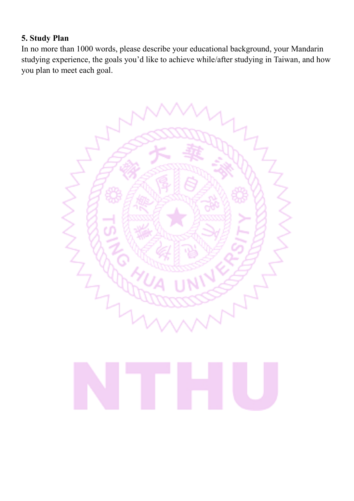### **5. Study Plan**

In no more than 1000 words, please describe your educational background, your Mandarin studying experience, the goals you'd like to achieve while/after studying in Taiwan, and how you plan to meet each goal.